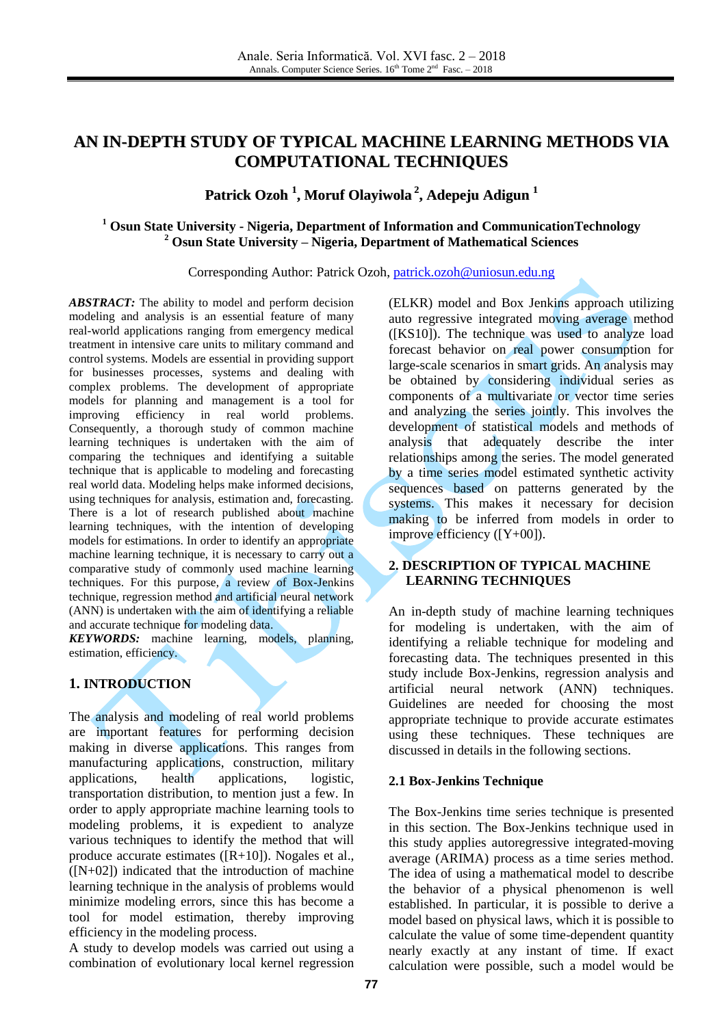# **AN IN-DEPTH STUDY OF TYPICAL MACHINE LEARNING METHODS VIA COMPUTATIONAL TECHNIQUES**

# **Patrick Ozoh 1 , Moruf Olayiwola 2 , Adepeju Adigun 1**

### **<sup>1</sup> Osun State University - Nigeria, Department of Information and CommunicationTechnology <sup>2</sup> Osun State University – Nigeria, Department of Mathematical Sciences**

Corresponding Author: Patrick Ozoh, [patrick.ozoh@uniosun.edu.ng](mailto:patrick.ozoh@uniosun.edu.ng)

*ABSTRACT:* The ability to model and perform decision modeling and analysis is an essential feature of many real-world applications ranging from emergency medical treatment in intensive care units to military command and control systems. Models are essential in providing support for businesses processes, systems and dealing with complex problems. The development of appropriate models for planning and management is a tool for improving efficiency in real world problems. Consequently, a thorough study of common machine learning techniques is undertaken with the aim of comparing the techniques and identifying a suitable technique that is applicable to modeling and forecasting real world data. Modeling helps make informed decisions, using techniques for analysis, estimation and, forecasting. There is a lot of research published about machine learning techniques, with the intention of developing models for estimations. In order to identify an appropriate machine learning technique, it is necessary to carry out a comparative study of commonly used machine learning techniques. For this purpose, a review of Box-Jenkins technique, regression method and artificial neural network (ANN) is undertaken with the aim of identifying a reliable and accurate technique for modeling data.

*KEYWORDS:* machine learning, models, planning, estimation, efficiency.

## **1. INTRODUCTION**

The analysis and modeling of real world problems are important features for performing decision making in diverse applications. This ranges from manufacturing applications, construction, military applications, health applications, logistic, transportation distribution, to mention just a few. In order to apply appropriate machine learning tools to modeling problems, it is expedient to analyze various techniques to identify the method that will produce accurate estimates ([R+10]). Nogales et al.,  $([N+02])$  indicated that the introduction of machine learning technique in the analysis of problems would minimize modeling errors, since this has become a tool for model estimation, thereby improving efficiency in the modeling process.

A study to develop models was carried out using a combination of evolutionary local kernel regression (ELKR) model and Box Jenkins approach utilizing auto regressive integrated moving average method ([KS10]). The technique was used to analyze load forecast behavior on real power consumption for large-scale scenarios in smart grids. An analysis may be obtained by considering individual series as components of a multivariate or vector time series and analyzing the series jointly. This involves the development of statistical models and methods of analysis that adequately describe the inter relationships among the series. The model generated by a time series model estimated synthetic activity sequences based on patterns generated by the systems. This makes it necessary for decision making to be inferred from models in order to improve efficiency ([Y+00]).

#### **2. DESCRIPTION OF TYPICAL MACHINE LEARNING TECHNIQUES**

An in-depth study of machine learning techniques for modeling is undertaken, with the aim of identifying a reliable technique for modeling and forecasting data. The techniques presented in this study include Box-Jenkins, regression analysis and artificial neural network (ANN) techniques. Guidelines are needed for choosing the most appropriate technique to provide accurate estimates using these techniques. These techniques are discussed in details in the following sections.

### **2.1 Box-Jenkins Technique**

The Box-Jenkins time series technique is presented in this section. The Box-Jenkins technique used in this study applies autoregressive integrated-moving average (ARIMA) process as a time series method. The idea of using a mathematical model to describe the behavior of a physical phenomenon is well established. In particular, it is possible to derive a model based on physical laws, which it is possible to calculate the value of some time-dependent quantity nearly exactly at any instant of time. If exact calculation were possible, such a model would be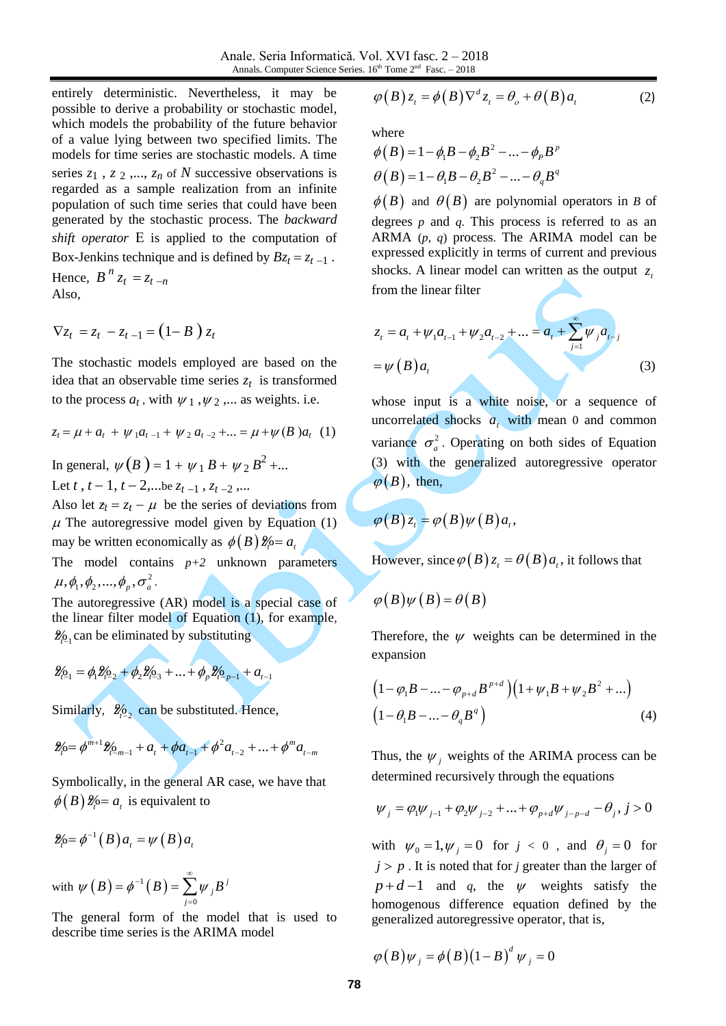entirely deterministic. Nevertheless, it may be possible to derive a probability or stochastic model, which models the probability of the future behavior of a value lying between two specified limits. The models for time series are stochastic models. A time series  $z_1$ ,  $z_2$ ,...,  $z_n$  of  $N$  successive observations is regarded as a sample realization from an infinite population of such time series that could have been generated by the stochastic process. The *backward shift operator* E is applied to the computation of Box-Jenkins technique and is defined by  $Bz_t = z_{t-1}$ . Hence,  $B^n z_t = z_{t-n}$ Also,

$$
\nabla z_t = z_t - z_{t-1} = (1 - B) z_t
$$

The stochastic models employed are based on the idea that an observable time series  $z_t$  is transformed to the process  $a_t$ , with  $\psi_1$ ,  $\psi_2$ ,... as weights. i.e.

$$
z_t = \mu + a_t + \psi_1 a_{t-1} + \psi_2 a_{t-2} + \dots = \mu + \psi(B) a_t \quad (1)
$$

In general,  $\psi(B) = 1 + \psi_1 B + \psi_2 B^2 + ...$ Let *t* ,  $t-1$ ,  $t-2$ ,...be  $z_{t-1}$  ,  $z_{t-2}$  ,...

Also let  $z_t = z_t - \mu$  be the series of deviations from  $\mu$  The autoregressive model given by Equation (1) may be written economically as  $\phi(B) \mathcal{Z}_i = a_i$ 

The model contains  $p+2$  unknown parameters  $\mu, \phi_1, \phi_2, ..., \phi_p, \sigma_a^2$ .

The autoregressive (AR) model is a special case of the linear filter model of Equation (1), for example,  $\frac{2}{n}$  can be eliminated by substituting

$$
\mathcal{L}_{t-1} = \phi_1 \mathcal{L}_{t-2} + \phi_2 \mathcal{L}_{t-3} + \dots + \phi_p \mathcal{L}_{t-p-1} + a_{t-1}
$$

Similarly,  $\frac{96}{2}$  can be substituted. Hence,

$$
\mathcal{L}_{\rho} = \phi^{m+1} \mathcal{L}_{\rho_{-m-1}} + a_{t} + \phi a_{t-1} + \phi^{2} a_{t-2} + \dots + \phi^{m} a_{t-m}
$$

Symbolically, in the general AR case, we have that  $\phi(B) \mathcal{Z}_P = a_t$  is equivalent to

$$
\mathscr{Z}_{P}=\phi^{-1}(B)a_{t}=\psi(B)a_{t}
$$

with  $\psi(B) = \phi^{-1}(B)$  $\mathbf{0}$ *j j j*  $\psi(B) = \phi^{-1}(B) = \sum_{i=1}^{\infty} \psi_{i}B_{i}$  $=\phi^{-1}\left(\,B\,\right)=\sum_{j=0}^\infty$ 

The general form of the model that is used to describe time series is the ARIMA model

$$
\varphi(B) z_t = \phi(B) \nabla^d z_t = \theta_o + \theta(B) a_t \qquad (2)
$$

where

where  
\n
$$
\phi(B) = 1 - \phi_1 B - \phi_2 B^2 - ... - \phi_p B^p
$$
\n
$$
\theta(B) = 1 - \theta_1 B - \theta_2 B^2 - ... - \theta_q B^q
$$

 $\phi(B)$  and  $\theta(B)$  are polynomial operators in *B* of degrees *p* and *q*. This process is referred to as an ARMA (*p*, *q*) process. The ARIMA model can be expressed explicitly in terms of current and previous shocks. A linear model can written as the output  $z_i$ from the linear filter

$$
z_{t} = a_{t} + \psi_{1} a_{t-1} + \psi_{2} a_{t-2} + \dots = a_{t} + \sum_{j=1}^{\infty} \psi_{j} a_{t-j}
$$
  
=  $\psi(B) a_{t}$  (3)

whose input is a white noise, or a sequence of uncorrelated shocks  $a_i$  with mean 0 and common variance  $\sigma_a^2$ . Operating on both sides of Equation (3) with the generalized autoregressive operator  $\varphi(B)$ , then,

$$
\varphi(B) z_i = \varphi(B) \psi(B) a_i,
$$

However, since  $\varphi(B) z_t = \theta(B) a_t$ , it follows that

$$
\varphi(B)\psi(B) = \theta(B)
$$

Therefore, the  $\psi$  weights can be determined in the expansion

$$
(1 - \varphi_1 B - \dots - \varphi_{p+d} B^{p+d}) (1 + \psi_1 B + \psi_2 B^2 + \dots)
$$
  

$$
(1 - \theta_1 B - \dots - \theta_q B^q)
$$
 (4)

Thus, the  $\psi_j$  weights of the ARIMA process can be

determined recursively through the equations  

$$
\psi_j = \varphi_j \psi_{j-1} + \varphi_2 \psi_{j-2} + \dots + \varphi_{p+d} \psi_{j-p-d} - \theta_j, j > 0
$$

with  $\psi_0 = 1, \psi_j = 0$  for  $j < 0$ , and  $\theta_j = 0$  for  $j > p$ . It is noted that for *j* greater than the larger of  $p+d-1$  and q, the  $\psi$  weights satisfy the homogenous difference equation defined by the generalized autoregressive operator, that is,

$$
\varphi(B)\psi_j = \phi(B)(1-B)^d \psi_j = 0
$$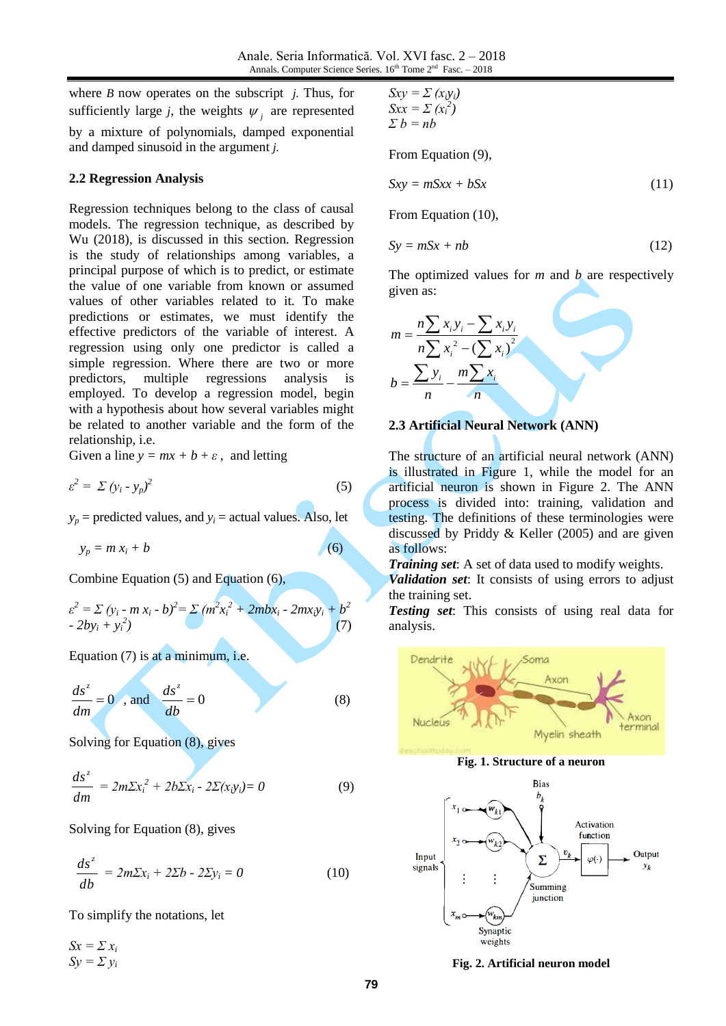where *B* now operates on the subscript *j.* Thus, for sufficiently large *j*, the weights  $\psi_j$  are represented by a mixture of polynomials, damped exponential and damped sinusoid in the argument *j.*

#### **2.2 Regression Analysis**

Regression techniques belong to the class of causal models. The regression technique, as described by Wu (2018), is discussed in this section. Regression is the study of relationships among variables, a principal purpose of which is to predict, or estimate the value of one variable from known or assumed values of other variables related to it. To make predictions or estimates, we must identify the effective predictors of the variable of interest. A regression using only one predictor is called a simple regression. Where there are two or more predictors, multiple regressions analysis is employed. To develop a regression model, begin with a hypothesis about how several variables might be related to another variable and the form of the relationship, i.e.

Given a line  $y = mx + b + \varepsilon$ , and letting

$$
\varepsilon^2 = \sum (y_i - y_p)^2 \tag{5}
$$

 $y_p$  = predicted values, and  $y_i$  = actual values. Also, let

$$
y_p = m x_i + b \tag{6}
$$

Combine Equation (5) and Equation (6),

$$
\varepsilon^{2} = \sum (y_{i} - m x_{i} - b)^{2} = \sum (m^{2} x_{i}^{2} + 2m b x_{i} - 2m x_{i} y_{i} + b^{2} - 2b y_{i} + y_{i}^{2})
$$
\n(7)

Equation (7) is at a minimum, i.e.

$$
\frac{ds^2}{dm} = 0 \quad \text{and} \quad \frac{ds^2}{db} = 0 \tag{8}
$$

Solving for Equation (8), gives

$$
\frac{ds^z}{dm} = 2m\Sigma x_i^2 + 2b\Sigma x_i - 2\Sigma(x_iy_i) = 0
$$
\n(9)

Solving for Equation (8), gives

$$
\frac{ds^z}{db} = 2m\Sigma x_i + 2\Sigma b - 2\Sigma y_i = 0
$$
 (10)

To simplify the notations, let

 $Sx = \sum x_i$  $Sy = \sum y_i$ 

$$
Sxy = \sum (x_iy_i)
$$
  
\n
$$
Sxx = \sum (x_i^2)
$$
  
\n
$$
\sum b = nb
$$

From Equation (9),

$$
Sxy = mSxx + bSx \tag{11}
$$

From Equation (10),

$$
Sy = mSx + nb \tag{12}
$$

The optimized values for *m* and *b* are respectively given as:

$$
m = \frac{n\sum x_i y_i - \sum x_i y_i}{n\sum x_i^2 - (\sum x_i)^2}
$$
  

$$
b = \frac{\sum y_i}{n} - \frac{m\sum x_i}{n}
$$

#### **2.3 Artificial Neural Network (ANN)**

The structure of an artificial neural network (ANN) is illustrated in Figure 1, while the model for an artificial neuron is shown in Figure 2. The ANN process is divided into: training, validation and testing. The definitions of these terminologies were discussed by Priddy & Keller (2005) and are given as follows:

*Training set*: A set of data used to modify weights.

*Validation set*: It consists of using errors to adjust the training set.

*Testing set*: This consists of using real data for analysis.



**Fig. 2. Artificial neuron model**

Synaptic weights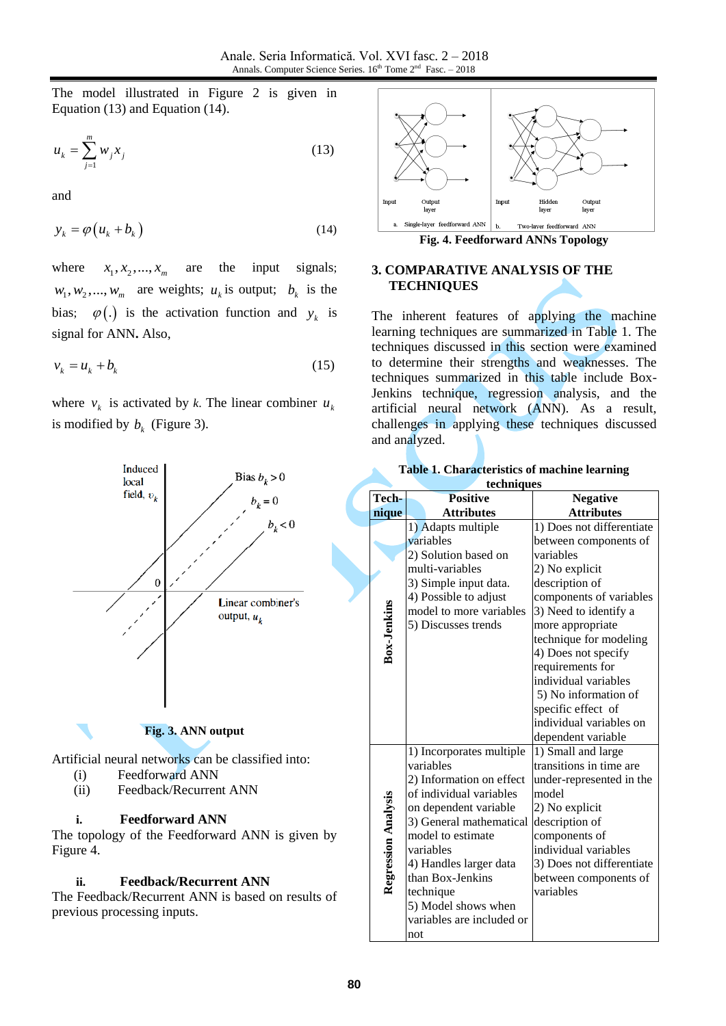The model illustrated in Figure 2 is given in Equation (13) and Equation (14).

$$
u_k = \sum_{j=1}^{m} w_j x_j \tag{13}
$$

and

$$
y_k = \varphi \left( u_k + b_k \right) \tag{14}
$$

where  $x_1, x_2, ..., x_m$ are the input signals;  $w_1, w_2, ..., w_m$  are weights;  $u_k$  is output;  $b_k$  is the bias;  $\varphi(.)$  is the activation function and  $y_k$  is signal for ANN**.** Also,

$$
v_k = u_k + b_k \tag{15}
$$

where  $v_k$  is activated by *k*. The linear combiner  $u_k$ is modified by  $b_k$  (Figure 3).



The Feedback/Recurrent ANN is based on results of previous processing inputs.



#### **3. COMPARATIVE ANALYSIS OF THE TECHNIQUES**

The inherent features of applying the machine learning techniques are summarized in Table 1. The techniques discussed in this section were examined to determine their strengths and weaknesses. The techniques summarized in this table include Box-Jenkins technique, regression analysis, and the artificial neural network (ANN). As a result, challenges in applying these techniques discussed and analyzed.

| Tech-               | acamques<br><b>Positive</b> | <b>Negative</b>           |
|---------------------|-----------------------------|---------------------------|
|                     |                             |                           |
| nique               | <b>Attributes</b>           | <b>Attributes</b>         |
|                     | 1) Adapts multiple          | 1) Does not differentiate |
|                     | variables                   | between components of     |
|                     | 2) Solution based on        | variables                 |
|                     | multi-variables             | 2) No explicit            |
|                     | 3) Simple input data.       | description of            |
|                     | 4) Possible to adjust       | components of variables   |
| Box-Jenkins         | model to more variables     | 3) Need to identify a     |
|                     | 5) Discusses trends         | more appropriate          |
|                     |                             | technique for modeling    |
|                     |                             | 4) Does not specify       |
|                     |                             | requirements for          |
|                     |                             | individual variables      |
|                     |                             | 5) No information of      |
|                     |                             | specific effect of        |
|                     |                             | individual variables on   |
|                     |                             | dependent variable        |
|                     | 1) Incorporates multiple    | 1) Small and large        |
|                     | variables                   | transitions in time are   |
|                     | 2) Information on effect    | under-represented in the  |
|                     | of individual variables     | model                     |
|                     | on dependent variable       | 2) No explicit            |
|                     | 3) General mathematical     | description of            |
|                     | model to estimate           | components of             |
|                     | variables                   | individual variables      |
|                     | 4) Handles larger data      | 3) Does not differentiate |
| Regression Analysis | than Box-Jenkins            | between components of     |
|                     | technique                   | variables                 |
|                     | 5) Model shows when         |                           |
|                     | variables are included or   |                           |
|                     | not                         |                           |
|                     |                             |                           |

|            |  |  |  |  |  | <b>Table 1. Characteristics of machine learning</b> |  |
|------------|--|--|--|--|--|-----------------------------------------------------|--|
| techniques |  |  |  |  |  |                                                     |  |